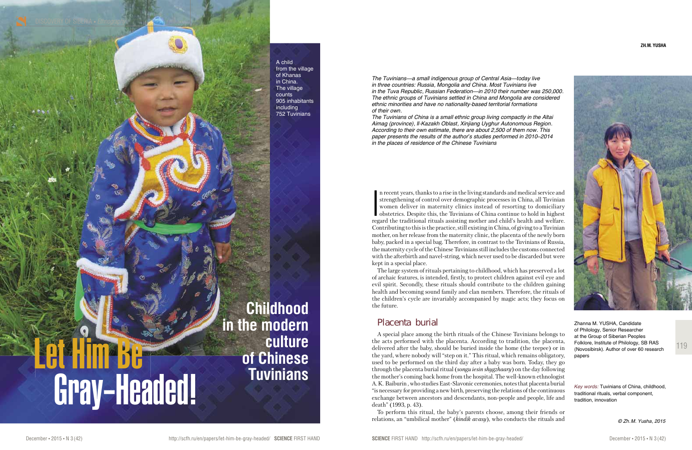Zhanna M. YUSHA, Candidate of Philology, Senior Researcher at the Group of Siberian Peoples Folklore, Institute of Philology, SB RAS (Novosibirsk). Author of over 60 research papers

In recent years, thanks to a rise in the living standards and medical service and strengthening of control over demographic processes in China, all Tuvinian women deliver in maternity clinics instead of resorting to domici n recent years, thanks to a rise in the living standards and medical service and strengthening of control over demographic processes in China, all Tuvinian women deliver in maternity clinics instead of resorting to domiciliary obstetrics. Despite this, the Tuvinians of China continue to hold in highest Contributing to this is the practice, still existing in China, of giving to a Tuvinian mother, on her release from the maternity clinic, the placenta of the newly born baby, packed in a special bag. Therefore, in contrast to the Tuvinians of Russia, the maternity cycle of the Chinese Tuvinians still includes the customs connected with the afterbirth and navel-string, which never used to be discarded but were kept in a special place.

The large system of rituals pertaining to childhood, which has preserved a lot of archaic features, is intended, firstly, to protect children against evil eye and evil spirit. Secondly, these rituals should contribute to the children gaining health and becoming sound family and clan members. Therefore, the rituals of the children's cycle are invariably accompanied by magic acts; they focus on the future.

# Placenta burial

A special place among the birth rituals of the Chinese Tuvinians belongs to the acts performed with the placenta. According to tradition, the placenta, delivered after the baby, should be buried inside the home (the teepee) or in the yard, where nobody will "step on it." This ritual, which remains obligatory, used to be performed on the third day after a baby was born. Today, they go through the placenta burial ritual (*songu iesin shygzhaary*) on the day following the mother's coming back home from the hospital. The well-known ethnologist A. K. Baiburin , who studies East-Slavonic ceremonies, notes that placenta burial "is necessary for providing a new birth, preserving the relations of the continuous exchange between ancestors and descendants, non-people and people, life and death" (1993, p. 43).

To perform this ritual, the baby's parents choose, among their friends or relations, an "umbilical mother" (*kindik avasy*), who conducts the rituals and

*Key words:* Tuvinians of China, childhood, traditional rituals, verbal component, tradition, innovation

*The Tuvinians—a small indigenous group of Central Asia—today live in three countries: Russia, Mongolia and China. Most Tuvinians live in the Tuva Republic, Russian Federation—in 2010 their number was 250,000. The ethnic groups of Tuvinians settled in China and Mongolia are considered ethnic minorities and have no nationality-based territorial formations of their own.* 



*The Tuvinians of China is a small ethnic group living compactly in the Altai Aimag (province), Il-Kazakh Oblast, Xinjiang Uyghur Autonomous Region. According to their own estimate, there are about 2,500 of them now. This paper presents the results of the author's studies performed in 2010–2014 in the places of residence of the Chinese Tuvinians*

### **ZH. M. YUSHA**



*© Zh. M. Yusha, 2015*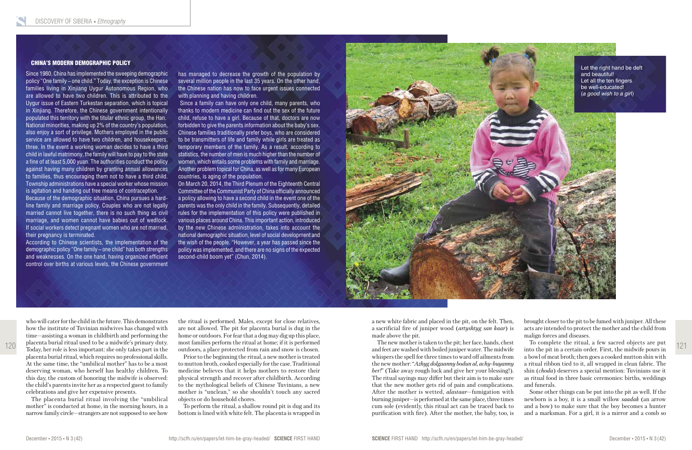who will cater for the child in the future. This demonstrates how the institute of Tuvinian midwives has changed with time—assisting a woman in childbirth and performing the placenta burial ritual used to be a midwife's primary duty. Today, her role is less important: she only takes part in the placenta burial ritual, which requires no professional skills. At the same time, the "umbilical mother" has to be a most deserving woman, who herself has healthy children. To this day, the custom of honoring the midwife is observed: the child's parents invite her as a respected guest to family celebrations and give her expensive presents.

The placenta burial ritual involving the "umbilical mother" is conducted at home, in the morning hours, in a narrow family circle—strangers are not supposed to see how the ritual is performed. Males, except for close relatives, are not allowed. The pit for placenta burial is dug in the home or outdoors. For fear that a dog may dig up this place, most families perform the ritual at home; if it is performed outdoors, a place protected from rain and snow is chosen.

Prior to the beginning the ritual, a new mother is treated to mutton broth, cooked especially for the case. Traditional medicine believes that it helps mothers to restore their physical strength and recover after childbirth. According to the mythological beliefs of Chinese Tuvinians, a new mother is "unclean," so she shouldn't touch any sacred objects or do household chores.

To perform the ritual, a shallow round pit is dug and its bottom is lined with white felt. The placenta is wrapped in a new white fabric and placed in the pit, on the felt. Then, a sacrificial fire of juniper wood (*artyshtyg san kaar*) is made above the pit.

The new mother is taken to the pit; her face, hands, chest and feet are washed with boiled juniper water. The midwife whispers the spell for three times to ward off ailments from the new mother: "*Azhyg dolgaanny bodun al, achy-buyanny ber!*" (Take away rough luck and give her your blessing!). The ritual sayings may differ but their aim is to make sure that the new mother gets rid of pain and complications. After the mother is wetted, *alastaar*—fumigation with burning juniper—is performed at the same place, three times cum sole (evidently, this ritual act can be traced back to purification with fire). After the mother, the baby, too, is brought closer to the pit to be fumed with juniper. All these acts are intended to protect the mother and the child from malign forces and diseases.

To complete the ritual, a few sacred objects are put into the pit in a certain order. First, the midwife pours in a bowl of meat broth; then goes a cooked mutton shin with a ritual ribbon tied to it, all wrapped in clean fabric. The shin (*choda*) deserves a special mention: Tuvinians use it as ritual food in three basic ceremonies: births, weddings

On March 20, 2014, the Third Plenum of the Eighteenth Central Committee of the Communist Party of China officially announced a policy allowing to have a second child in the event one of the parents was the only child in the family. Subsequently, detailed rules for the implementation of this policy were published in various places around China. This important action, introduced by the new Chinese administration, takes into account the national demographic situation, level of social development and the wish of the people. "However, a year has passed since the policy was implemented, and there are no signs of the expected second-child boom yet" (Chun, 2014).



and funerals.

Some other things can be put into the pit as well. If the newborn is a boy, it is a small willow *saadak* (an arrow and a bow) to make sure that the boy becomes a hunter and a marksman. For a girl, it is a mirror and a comb so

## CHINA'S MODERN DEMOGRAPHIC POLICY

Since 1980, China has implemented the sweeping demographic policy "One family – one child." Today, the exception is Chinese families living in Xinjiang Uygur Autonomous Region, who are allowed to have two children. This is attributed to the Uygur issue of Eastern Turkestan separation, which is topical in Xinjiang. Therefore, the Chinese government intentionally populated this territory with the titular ethnic group, the Han. National minorities, making up 2% of the country's population, also enjoy a sort of privilege. Mothers employed in the public service are allowed to have two children, and housekeepers, three. In the event a working woman decides to have a third child in lawful matrimony, the family will have to pay to the state a fine of at least 5,000 yuan. The authorities conduct the policy against having many children by granting annual allowances to families, thus encouraging them not to have a third child. Township administrations have a special worker whose mission is agitation and handing out free means of contraception.

Because of the demographic situation, China pursues a hardline family and marriage policy. Couples who are not legally married cannot live together, there is no such thing as civil marriage, and women cannot have babies out of wedlock. If social workers detect pregnant women who are not married, their pregnancy is terminated.

According to Chinese scientists, the implementation of the demographic policy "One family – one child" has both strengths and weaknesses. On the one hand, having organized efficient control over births at various levels, the Chinese government

has managed to decrease the growth of the population by several million people in the last 35 years. On the other hand, the Chinese nation has now to face urgent issues connected with planning and having children.

 Since a family can have only one child, many parents, who thanks to modern medicine can find out the sex of the future child, refuse to have a girl. Because of that, doctors are now forbidden to give the parents information about the baby's sex. Chinese families traditionally prefer boys, who are considered to be transmitters of life and family while girls are treated as temporary members of the family. As a result, according to statistics, the number of men is much higher than the number of women, which entails some problems with family and marriage. Another problem topical for China, as well as for many European countries, is aging of the population.

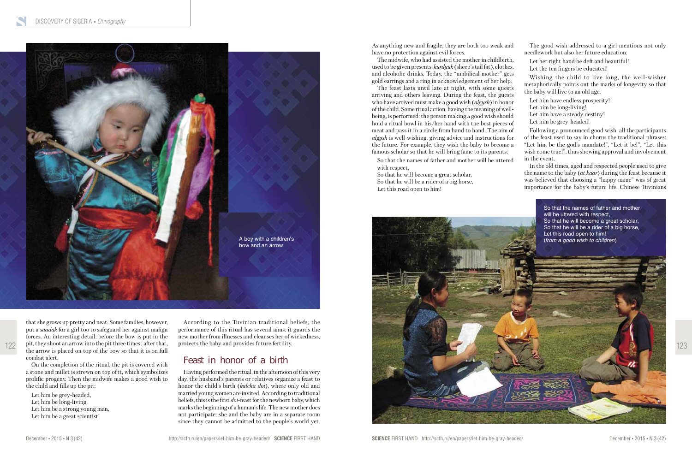

that she grows up pretty and neat. Some families, however, put a *saadak* for a girl too to safeguard her against malign forces. An interesting detail: before the bow is put in the pit, they shoot an arrow into the pit three times ; after that, the arrow is placed on top of the bow so that it is on full combat alert.

On the completion of the ritual, the pit is covered with a stone and millet is strewn on top of it, which symbolizes prolific progeny. Then the midwife makes a good wish to the child and fills up the pit:

Let him be grey-headed, Let him be long-living, Let him be a strong young man, Let him be a great scientist!

As anything new and fragile, they are both too weak and have no protection against evil forces.

The midwife, who had assisted the mother in childbirth, used to be given presents: *kurdyuk* (sheep's tail fat), clothes, and alcoholic drinks. Today, the "umbilical mother" gets gold earrings and a ring in acknowledgement of her help.

The feast lasts until late at night, with some guests arriving and others leaving. During the feast, the guests who have arrived must make a good wish (*algysh*) in honor of the child. Some ritual action, having the meaning of wellbeing, is performed: the person making a good wish should hold a ritual bowl in his/her hand with the best pieces of meat and pass it in a circle from hand to hand. The aim of *algysh* is well-wishing, giving advice and instructions for the future. For example, they wish the baby to become a famous scholar so that he will bring fame to its parents:

So that the names of father and mother will be uttered with respect,

So that he will become a great scholar, So that he will be a rider of a big horse, Let this road open to him!

- The good wish addressed to a girl mentions not only needlework but also her future education:
- Let her right hand be deft and beautiful!
- Let the ten fingers be educated!
- Wishing the child to live long, the well-wisher metaphorically points out the marks of longevity so that the baby will live to an old age:
- Let him have endless prosperity!
- Let him be long-living!
- Let him have a steady destiny!
- Let him be grey-headed!

Following a pronounced good wish, all the participants of the feast used to say in chorus the traditional phrases: "Let him be the god's mandate!", "Let it be!", "Let this wish come true!", thus showing approval and involvement in the event.

In the old times, aged and respected people used to give the name to the baby (*at kaar*) during the feast because it was believed that choosing a "happy name" was of great importance for the baby's future life. Chinese Tuvinians



According to the Tuvinian traditional beliefs, the performance of this ritual has several aims: it guards the new mother from illnesses and cleanses her of wickedness, protects the baby and provides future fertility.

## Feast in honor of a birth

Having performed the ritual, in the afternoon of this very day, the husband's parents or relatives organize a feast to honor the child's birth (*kalcha doi*), where only old and married young women are invited. According to traditional beliefs, this is the first *doi*-feast for the newborn baby, which marks the beginning of a human's life. The new mother does not participate: she and the baby are in a separate room since they cannot be admitted to the people's world yet.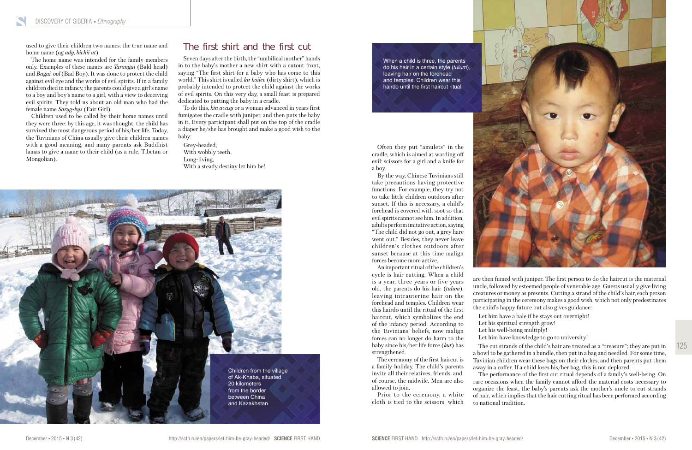

used to give their children two names: the true name and home name (*og ady, bichii at*).

The home name was intended for the family members only. Examples of these names are *Tarangai* (Bald-head) and *Bagai-ool* (Bad Boy). It was done to protect the child against evil eye and the works of evil spirits. If in a family children died in infancy, the parents could give a girl's name to a boy and boy's name to a girl, with a view to deceiving evil spirits. They told us about an old man who had the female name *Saryg-kys* (Fair Girl).

Children used to be called by their home names until they were three: by this age, it was thought, the child has survived the most dangerous period of his/her life. Today, the Tuvinians of China usually give their children names with a good meaning, and many parents ask Buddhist lamas to give a name to their child (as a rule, Tibetan or Mongolian).

# The first shirt and the first cut

Seven days after the birth, the "umbilical mother" hands in to the baby's mother a new shirt with a cutout front, saying "The first shirt for a baby who has come to this world." This shirt is called *kir koilee* (dirty shirt), which is probably intended to protect the child against the works of evil spirits. On this very day, a small feast is prepared dedicated to putting the baby in a cradle.

To do this, *kin avasy* or a woman advanced in years first fumigates the cradle with juniper, and then puts the baby in it. Every participant shall put on the top of the cradle a diaper he/she has brought and make a good wish to the baby:

Grey-headed, With wobbly teeth, Long-living, With a steady destiny let him be!

Often they put "amulets" in the cradle, which is aimed at warding off evil: scissors for a girl and a knife for a boy.

By the way, Chinese Tuvinians still take precautions having protective functions. For example, they try not to take little children outdoors after sunset. If this is necessary, a child's forehead is covered with soot so that evil spirits cannot see him. In addition, adults perform imitative action, saying "The child did not go out, a grey hare went out." Besides, they never leave children's clothes outdoors after sunset because at this time malign forces become more active.



An important ritual of the children's cycle is hair cutting. When a child is a year, three years or five years old, the parents do his hair (*tulum*), leaving intrauterine hair on the forehead and temples. Children wear this hairdo until the ritual of the first haircut, which symbolizes the end of the infancy period. According to the Tuvinians' beliefs, now malign forces can no longer do harm to the baby since his/her life force (*kut*) has strengthened.

The ceremony of the first haircut is a family holiday. The child's parents invite all their relatives, friends, and, of course, the midwife. Men are also allowed to join.

Prior to the ceremony, a white cloth is tied to the scissors, which are then fumed with juniper. The first person to do the haircut is the maternal uncle, followed by esteemed people of venerable age. Guests usually give living creatures or money as presents. Cutting a strand of the child's hair, each person participating in the ceremony makes a good wish, which not only predestinates the child's happy future but also gives guidance:

Let him have a bale if he stays out overnight! Let his spiritual strength grow! Let his well-being multiply! Let him have knowledge to go to university!

The cut strands of the child's hair are treated as a "treasure"; they are put in a bowl to be gathered in a bundle, then put in a bag and needled. For some time, Tuvinian children wear these bags on their clothes, and then parents put them away in a coffer. If a child loses his/her bag, this is not deplored.

The performance of the first cut ritual depends of a family's well-being. On rare occasions when the family cannot afford the material costs necessary to organize the feast, the baby's parents ask the mother's uncle to cut strands of hair, which implies that the hair cutting ritual has been performed according to national tradition.

When a child is three, the parents do his hair in a certain style (*tulum*), leaving hair on the forehead and temples. Children wear this hairdo until the first haircut ritual